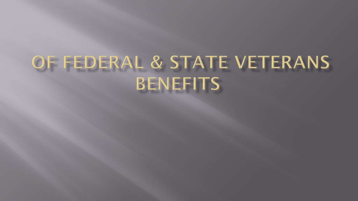# OF FEDERAL & STATE VETERANS BENEFITS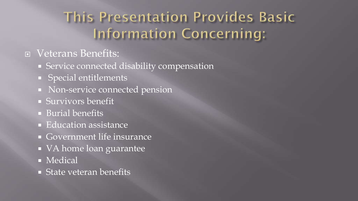### **This Presentation Provides Basic Information Concerning:**

#### Veterans Benefits:

- **Service connected disability compensation**
- **Special entitlements**
- Non-service connected pension
- Survivors benefit
- **Burial benefits**
- **Education assistance**
- Government life insurance
- VA home loan guarantee
- **Medical**
- **State veteran benefits**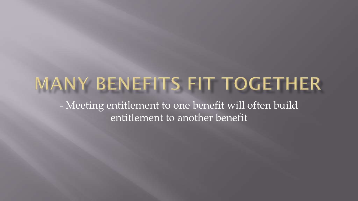### MANY BENEFITS FIT TOGETHER

- Meeting entitlement to one benefit will often build entitlement to another benefit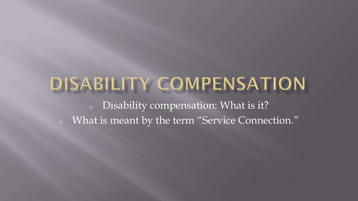# DISABILITY COMPENSATION

<sup>o</sup> Disability compensation: What is it? <sup>o</sup> What is meant by the term "Service Connection."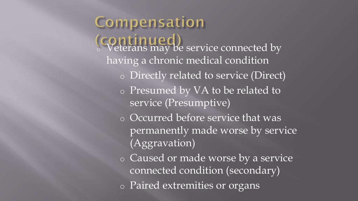Compensation (Continued)<br>© Veterans may be service connected by having a chronic medical condition o Directly related to service (Direct) o Presumed by VA to be related to service (Presumptive) o Occurred before service that was permanently made worse by service (Aggravation) o Caused or made worse by a service connected condition (secondary) o Paired extremities or organs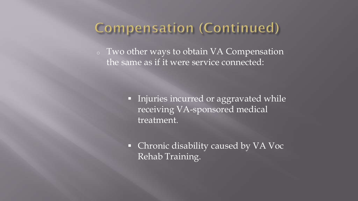### Compensation (Continued)

<sup>o</sup> Two other ways to obtain VA Compensation the same as if it were service connected:

> **Injuries incurred or aggravated while** receiving VA-sponsored medical treatment.

• Chronic disability caused by VA Voc Rehab Training.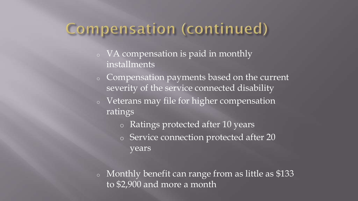### Compensation (continued)

- <sup>o</sup> VA compensation is paid in monthly installments
- <sup>o</sup> Compensation payments based on the current severity of the service connected disability
- <sup>o</sup> Veterans may file for higher compensation ratings
	- o Ratings protected after 10 years
	- o Service connection protected after 20 years
- <sup>o</sup> Monthly benefit can range from as little as \$133 to \$2,900 and more a month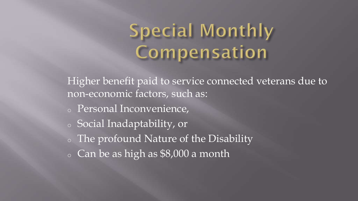# Special Monthly Compensation

Higher benefit paid to service connected veterans due to non-economic factors, such as:

- <sup>o</sup> Personal Inconvenience,
- <sup>o</sup> Social Inadaptability, or
- <sup>o</sup> The profound Nature of the Disability
- $\circ$  Can be as high as \$8,000 a month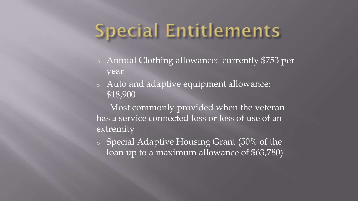# **Special Entitlements**

- <sup>o</sup> Annual Clothing allowance: currently \$753 per year
- <sup>o</sup> Auto and adaptive equipment allowance: \$18,900

 Most commonly provided when the veteran has a service connected loss or loss of use of an extremity

<sup>o</sup> Special Adaptive Housing Grant (50% of the loan up to a maximum allowance of \$63,780)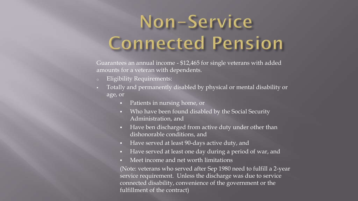# Non-Service **Connected Pension**

Guarantees an annual income - \$12,465 for single veterans with added amounts for a veteran with dependents.

- **Eligibility Requirements:**
- Totally and permanently disabled by physical or mental disability or age, or
	- Patients in nursing home, or
	- Who have been found disabled by the Social Security Administration, and
	- Have ben discharged from active duty under other than dishonorable conditions, and
	- Have served at least 90-days active duty, and
	- Have served at least one day during a period of war, and
	- Meet income and net worth limitations

(Note: veterans who served after Sep 1980 need to fulfill a 2-year service requirement. Unless the discharge was due to service connected disability, convenience of the government or the fulfillment of the contract)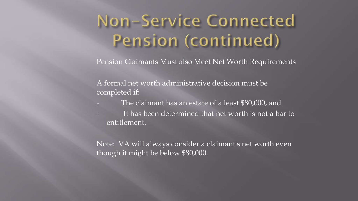## Non-Service Connected Pension (continued)

Pension Claimants Must also Meet Net Worth Requirements

A formal net worth administrative decision must be completed if:

- <sup>o</sup> The claimant has an estate of a least \$80,000, and
- <sup>o</sup> It has been determined that net worth is not a bar to entitlement.

Note: VA will always consider a claimant's net worth even though it might be below \$80,000.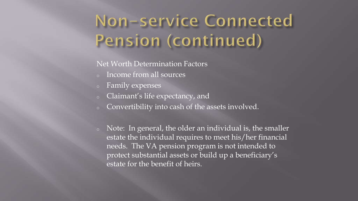## Non-service Connected Pension (continued)

#### Net Worth Determination Factors

- Income from all sources
- <sup>o</sup> Family expenses
- <sup>o</sup> Claimant's life expectancy, and
- <sup>o</sup> Convertibility into cash of the assets involved.
- <sup>o</sup> Note: In general, the older an individual is, the smaller estate the individual requires to meet his/her financial needs. The VA pension program is not intended to protect substantial assets or build up a beneficiary's estate for the benefit of heirs.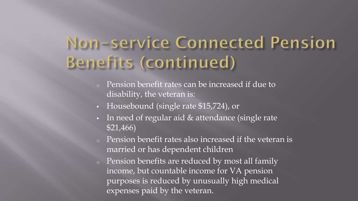### Non-service Connected Pension Benefits (continued)

- Pension benefit rates can be increased if due to disability, the veteran is:
- Housebound (single rate \$15,724), or
- In need of regular aid & attendance (single rate \$21,466)
- <sup>o</sup> Pension benefit rates also increased if the veteran is married or has dependent children
- <sup>o</sup> Pension benefits are reduced by most all family income, but countable income for VA pension purposes is reduced by unusually high medical expenses paid by the veteran.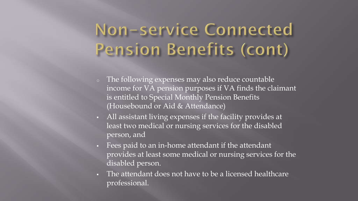### Non-service Connected Pension Benefits (cont)

- <sup>o</sup> The following expenses may also reduce countable income for VA pension purposes if VA finds the claimant is entitled to Special Monthly Pension Benefits (Housebound or Aid & Attendance)
- All assistant living expenses if the facility provides at least two medical or nursing services for the disabled person, and
- Fees paid to an in-home attendant if the attendant provides at least some medical or nursing services for the disabled person.
- The attendant does not have to be a licensed healthcare professional.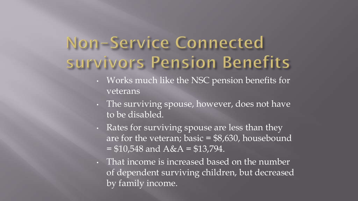### Non-Service Connected survivors Pension Benefits

- Works much like the NSC pension benefits for veterans
- The surviving spouse, however, does not have to be disabled.
- Rates for surviving spouse are less than they are for the veteran; basic  $= $8,630$ , housebound  $= $10,548$  and  $A&A = $13,794$ .
- That income is increased based on the number of dependent surviving children, but decreased by family income.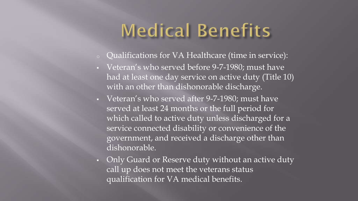# **Medical Benefits**

- <sup>o</sup> Qualifications for VA Healthcare (time in service):
- Veteran's who served before 9-7-1980; must have had at least one day service on active duty (Title 10) with an other than dishonorable discharge.
- Veteran's who served after 9-7-1980; must have served at least 24 months or the full period for which called to active duty unless discharged for a service connected disability or convenience of the government, and received a discharge other than dishonorable.
- Only Guard or Reserve duty without an active duty call up does not meet the veterans status qualification for VA medical benefits.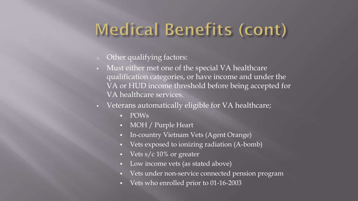### Medical Benefits (cont)

- <sup>o</sup> Other qualifying factors:
- Must either met one of the special VA healthcare qualification categories, or have income and under the VA or HUD income threshold before being accepted for VA healthcare services.
- Veterans automatically eligible for VA healthcare;
	- **POWs**
	- MOH / Purple Heart
	- In-country Vietnam Vets (Agent Orange)
	- Vets exposed to ionizing radiation (A-bomb)
	- Vets  $s/c$  10% or greater
	- Low income vets (as stated above)
	- Vets under non-service connected pension program
	- Vets who enrolled prior to 01-16-2003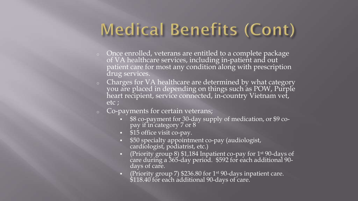### Medical Benefits (Cont)

- $\circ$  Once enrolled, veterans are entitled to a complete package of VA healthcare services, including in-patient and out patient care for most any condition along with prescription drug services.
- <sup>o</sup> Charges for VA healthcare are determined by what category you are placed in depending on things such as POW, Purple heart recipient, service connected, in-country Vietnam vet, etc ;
- <sup>o</sup> Co-payments for certain veterans;
	- \$8 co-payment for 30-day supply of medication, or \$9 copay if in category 7 or 8
	- \$15 office visit co-pay.
	- $\overline{\hspace{1em}\text{ $}}\hspace{1em}$  \$50 specialty appointment co-pay (audiologist, cardiologist, podiatrist, etc.)
	- **•** (Priority group 8) \$1,184 Inpatient co-pay for  $1<sup>st</sup>$  90-days of care during a 365-day period. \$592 for each additional 90 days of care.
	- (Priority group 7) \$236.80 for 1st 90-days inpatient care. \$118.40 for each additional 90-days of care.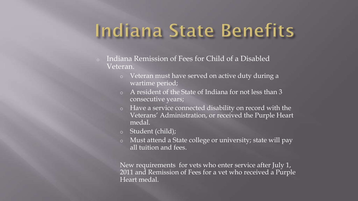# Indiana State Benefits

- **Indiana Remission of Fees for Child of a Disabled** Veteran.
	- o Veteran must have served on active duty during a wartime period;
	- A resident of the State of Indiana for not less than 3 consecutive years;
	- o Have a service connected disability on record with the Veterans' Administration, or received the Purple Heart medal.
	- o Student (child);
	- o Must attend a State college or university; state will pay all tuition and fees.

New requirements for vets who enter service after July 1, 2011 and Remission of Fees for a vet who received a Purple Heart medal.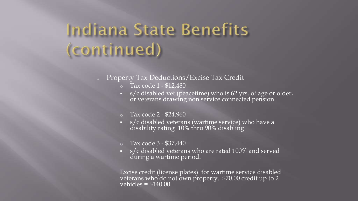## Indiana State Benefits (continued)

- <sup>o</sup> Property Tax Deductions/Excise Tax Credit
	- $\circ$  Tax code 1 \$12,480
	- s/c disabled vet (peacetime) who is 62 yrs. of age or older, or veterans drawing non service connected pension
	- $\circ$  Tax code 2 \$24,960
	- s/c disabled veterans (wartime service) who have a disability rating 10% thru 90% disabling
	- o Tax code 3 \$37,440
	- s/c disabled veterans who are rated 100% and served during a wartime period.

Excise credit (license plates) for wartime service disabled veterans who do not own property. \$70.00 credit up to 2  $\overline{\text{velnicles}} = $140.00.$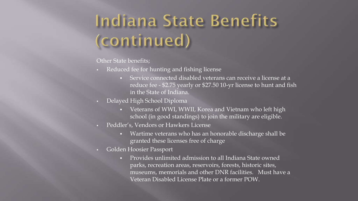# Indiana State Benefits (continued)

Other State benefits;

- Reduced fee for hunting and fishing license
	- Service connected disabled veterans can receive a license at a reduce fee - \$2.75 yearly or \$27.50 10-yr license to hunt and fish in the State of Indiana.
- Delayed High School Diploma
	- Veterans of WWI, WWII, Korea and Vietnam who left high school (in good standings) to join the military are eligible.
- Peddler's, Vendors or Hawkers License
	- Wartime veterans who has an honorable discharge shall be granted these licenses free of charge
- Golden Hoosier Passport
	- **Provides unlimited admission to all Indiana State owned** parks, recreation areas, reservoirs, forests, historic sites, museums, memorials and other DNR facilities. Must have a Veteran Disabled License Plate or a former POW.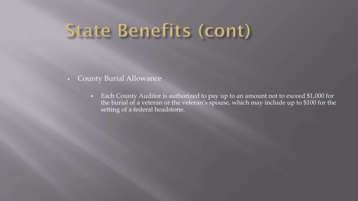# **State Benefits (cont)**

- **County Burial Allowance** 
	- Each County Auditor is authorized to pay up to an amount not to exceed \$1,000 for the burial of a veteran or the veteran's spouse, which may include up to \$100 for the setting of a federal headstone.